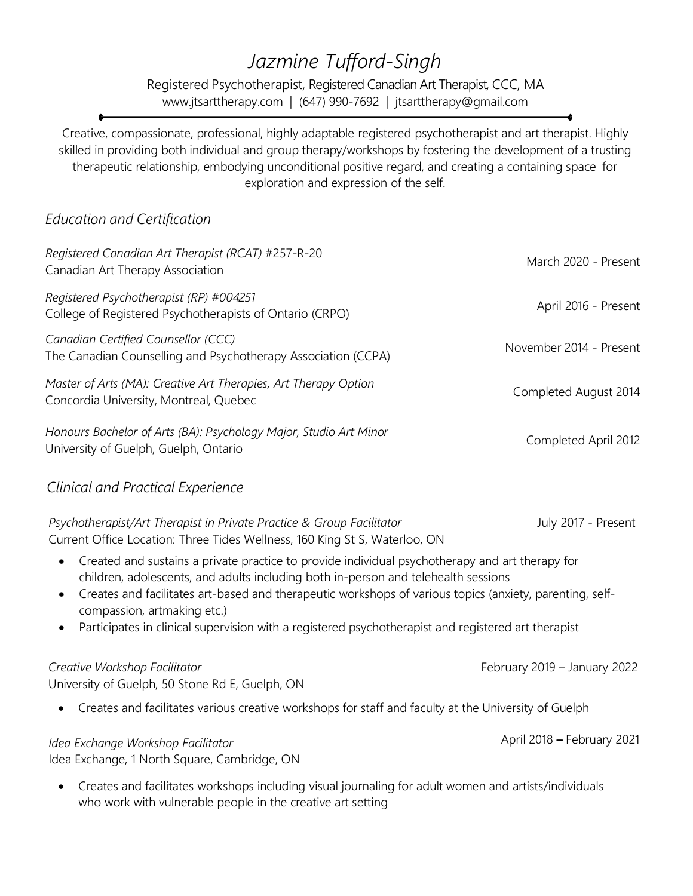## *Jazmine Tufford-Singh*

Registered Psychotherapist, Registered Canadian Art Therapist, CCC, MA [www.jtsarttherapy.com](http://www.jtsarttherapy.com/) | (647) 990-7692 | [jtsarttherapy@gmail.com](mailto:jtsarttherapy@gmail.com)

Creative, compassionate, professional, highly adaptable registered psychotherapist and art therapist. Highly skilled in providing both individual and group therapy/workshops by fostering the development of a trusting therapeutic relationship, embodying unconditional positive regard, and creating a containing space for exploration and expression of the self.

## *Education and Certification*

| Registered Canadian Art Therapist (RCAT) #257-R-20<br>Canadian Art Therapy Association                     | March 2020 - Present    |
|------------------------------------------------------------------------------------------------------------|-------------------------|
| Registered Psychotherapist (RP) #004251<br>College of Registered Psychotherapists of Ontario (CRPO)        | April 2016 - Present    |
| Canadian Certified Counsellor (CCC)<br>The Canadian Counselling and Psychotherapy Association (CCPA)       | November 2014 - Present |
| Master of Arts (MA): Creative Art Therapies, Art Therapy Option<br>Concordia University, Montreal, Quebec  | Completed August 2014   |
| Honours Bachelor of Arts (BA): Psychology Major, Studio Art Minor<br>University of Guelph, Guelph, Ontario | Completed April 2012    |

## *Clinical and Practical Experience*

| Psychotherapist/Art Therapist in Private Practice & Group Facilitator<br>Current Office Location: Three Tides Wellness, 160 King St S, Waterloo, ON                                                                                                                                                                                                                                                                                                                            | July 2017 - Present          |  |
|--------------------------------------------------------------------------------------------------------------------------------------------------------------------------------------------------------------------------------------------------------------------------------------------------------------------------------------------------------------------------------------------------------------------------------------------------------------------------------|------------------------------|--|
| Created and sustains a private practice to provide individual psychotherapy and art therapy for<br>$\bullet$<br>children, adolescents, and adults including both in-person and telehealth sessions<br>Creates and facilitates art-based and therapeutic workshops of various topics (anxiety, parenting, self-<br>$\bullet$<br>compassion, artmaking etc.)<br>Participates in clinical supervision with a registered psychotherapist and registered art therapist<br>$\bullet$ |                              |  |
| Creative Workshop Facilitator<br>University of Guelph, 50 Stone Rd E, Guelph, ON                                                                                                                                                                                                                                                                                                                                                                                               | February 2019 - January 2022 |  |
| Creates and facilitates various creative workshops for staff and faculty at the University of Guelph<br>$\bullet$                                                                                                                                                                                                                                                                                                                                                              |                              |  |
| Idea Exchange Workshop Facilitator<br>Idea Exchange, 1 North Square, Cambridge, ON                                                                                                                                                                                                                                                                                                                                                                                             | April 2018 - February 2021   |  |

• Creates and facilitates workshops including visual journaling for adult women and artists/individuals who work with vulnerable people in the creative art setting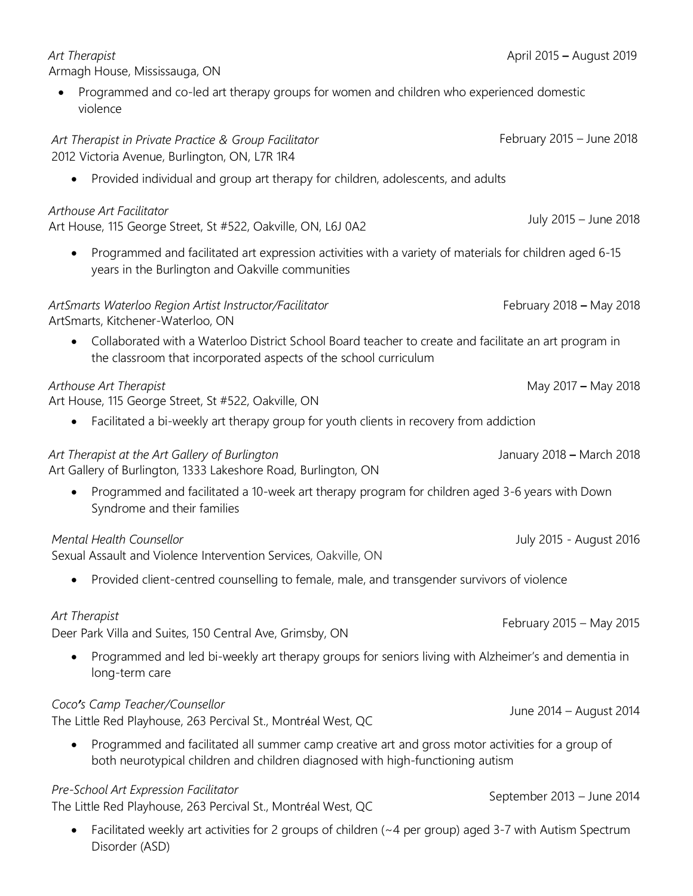| Armagh House, Mississauga, ON                                                                                                                                                                    |                            |
|--------------------------------------------------------------------------------------------------------------------------------------------------------------------------------------------------|----------------------------|
| Programmed and co-led art therapy groups for women and children who experienced domestic<br>violence                                                                                             |                            |
| Art Therapist in Private Practice & Group Facilitator<br>2012 Victoria Avenue, Burlington, ON, L7R 1R4                                                                                           | February 2015 - June 2018  |
| Provided individual and group art therapy for children, adolescents, and adults<br>$\bullet$                                                                                                     |                            |
| Arthouse Art Facilitator<br>Art House, 115 George Street, St #522, Oakville, ON, L6J 0A2                                                                                                         | July 2015 - June 2018      |
| Programmed and facilitated art expression activities with a variety of materials for children aged 6-15<br>$\bullet$<br>years in the Burlington and Oakville communities                         |                            |
| ArtSmarts Waterloo Region Artist Instructor/Facilitator<br>ArtSmarts, Kitchener-Waterloo, ON                                                                                                     | February 2018 - May 2018   |
| Collaborated with a Waterloo District School Board teacher to create and facilitate an art program in<br>$\bullet$<br>the classroom that incorporated aspects of the school curriculum           |                            |
| Arthouse Art Therapist<br>Art House, 115 George Street, St #522, Oakville, ON                                                                                                                    | May 2017 - May 2018        |
| Facilitated a bi-weekly art therapy group for youth clients in recovery from addiction<br>$\bullet$                                                                                              |                            |
| Art Therapist at the Art Gallery of Burlington<br>Art Gallery of Burlington, 1333 Lakeshore Road, Burlington, ON                                                                                 | January 2018 - March 2018  |
| Programmed and facilitated a 10-week art therapy program for children aged 3-6 years with Down<br>$\bullet$<br>Syndrome and their families                                                       |                            |
| Mental Health Counsellor<br>Sexual Assault and Violence Intervention Services, Oakville, ON                                                                                                      | July 2015 - August 2016    |
| Provided client-centred counselling to female, male, and transgender survivors of violence                                                                                                       |                            |
| Art Therapist<br>Deer Park Villa and Suites, 150 Central Ave, Grimsby, ON                                                                                                                        | February 2015 - May 2015   |
| Programmed and led bi-weekly art therapy groups for seniors living with Alzheimer's and dementia in<br>$\bullet$<br>long-term care                                                               |                            |
| Coco's Camp Teacher/Counsellor<br>The Little Red Playhouse, 263 Percival St., Montréal West, QC                                                                                                  | June 2014 - August 2014    |
| Programmed and facilitated all summer camp creative art and gross motor activities for a group of<br>$\bullet$<br>both neurotypical children and children diagnosed with high-functioning autism |                            |
| Pre-School Art Expression Facilitator<br>The Little Red Playhouse, 263 Percival St., Montréal West, QC                                                                                           | September 2013 - June 2014 |

April 2015 **–** August 2019

 *Art Therapist*

• Facilitated weekly art activities for 2 groups of children (~4 per group) aged 3-7 with Autism Spectrum Disorder (ASD)